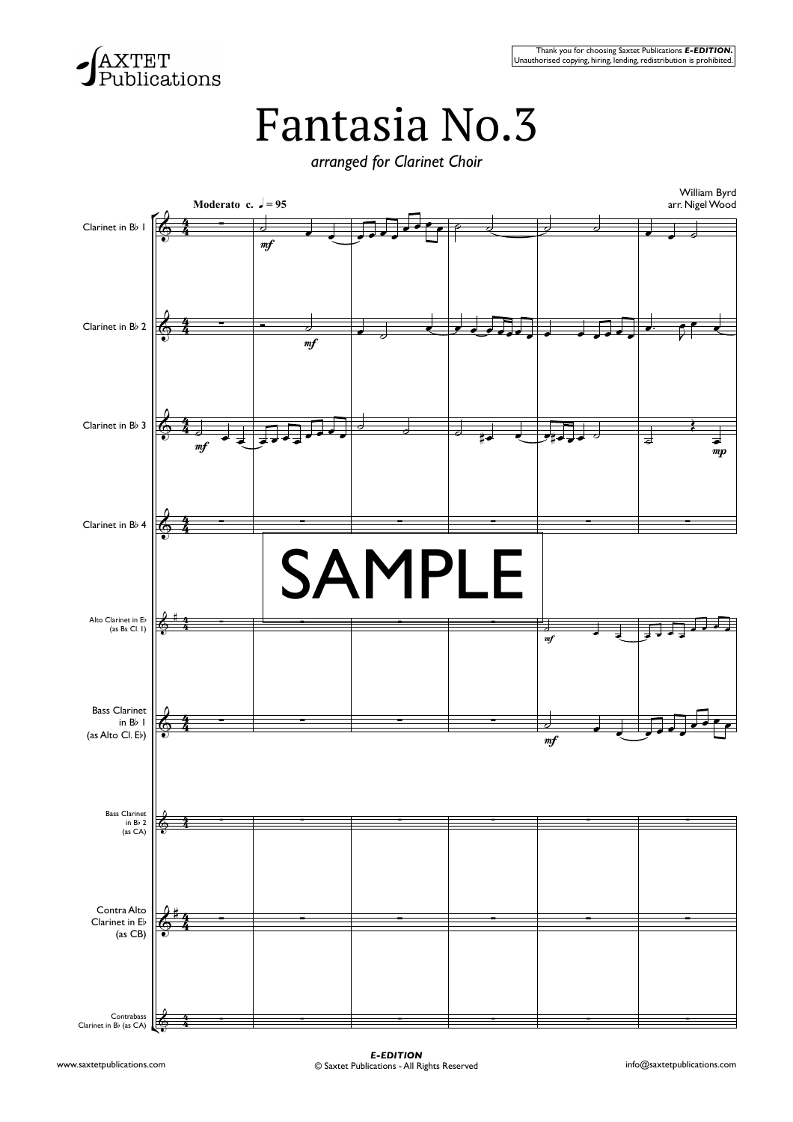

## Fantasia No.3

*arranged for Clarinet Choir*